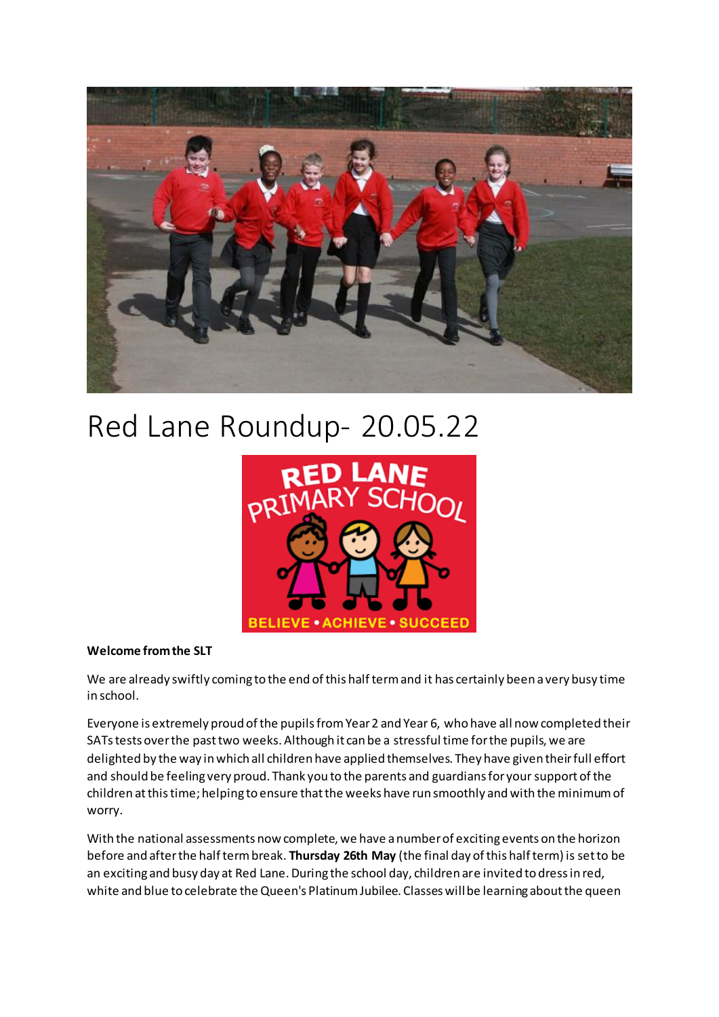

# Red Lane Roundup- 20.05.22



#### **Welcome from the SLT**

We are already swiftly coming to the end of this half term and it has certainly been a very busy time in school.

Everyone is extremely proud of the pupils from Year 2 and Year 6, who have all now completed their SATs tests over the past two weeks. Although it can be a stressful time for the pupils, we are delighted by the way in which all children have applied themselves. They have given their full effort and should be feeling very proud. Thank you to the parents and guardians for your support of the children at this time; helping to ensure that the weeks have run smoothly and with the minimum of worry.

With the national assessments now complete, we have a number of exciting events on the horizon before and after the half term break. **Thursday 26th May** (the final day of this half term) is set to be an exciting and busy day at Red Lane. During the school day, children are invited to dress in red, white and blue to celebrate the Queen's Platinum Jubilee. Classes will be learning about the queen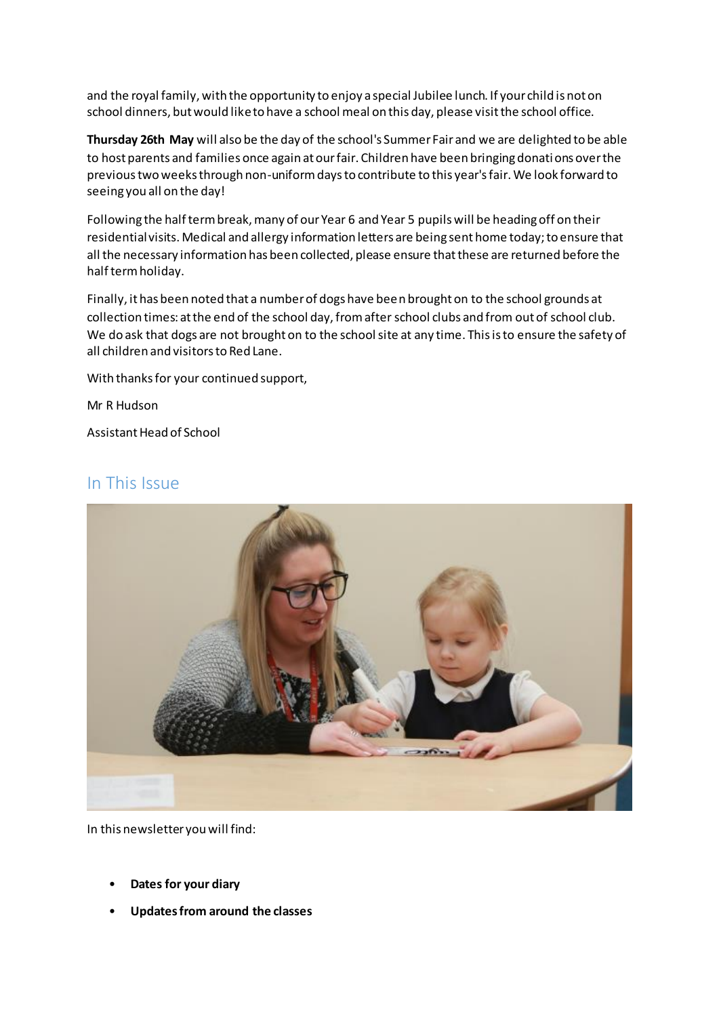and the royal family, with the opportunity to enjoy a special Jubilee lunch. If your child is not on school dinners, but would like to have a school meal on this day, please visit the school office.

**Thursday 26th May** will also be the day of the school's Summer Fair and we are delighted to be able to host parents and families once again at our fair. Children have been bringing donations over the previous two weeks through non-uniform days to contribute to this year's fair. We look forward to seeing you all on the day!

Following the half term break, many of our Year 6 and Year 5 pupils will be heading off on their residential visits. Medical and allergy information letters are being sent home today; to ensure that all the necessary information has been collected, please ensure that these are returned before the half term holiday.

Finally, it has been noted that a number of dogs have been brought on to the school grounds at collection times: at the end of the school day, from after school clubs and from out of school club. We do ask that dogs are not brought on to the school site at any time. This is to ensure the safety of all children and visitors to Red Lane.

With thanks for your continued support,

Mr R Hudson

Assistant Head of School

### In This Issue



In this newsletter you will find:

- **Dates for your diary**
- **Updates from around the classes**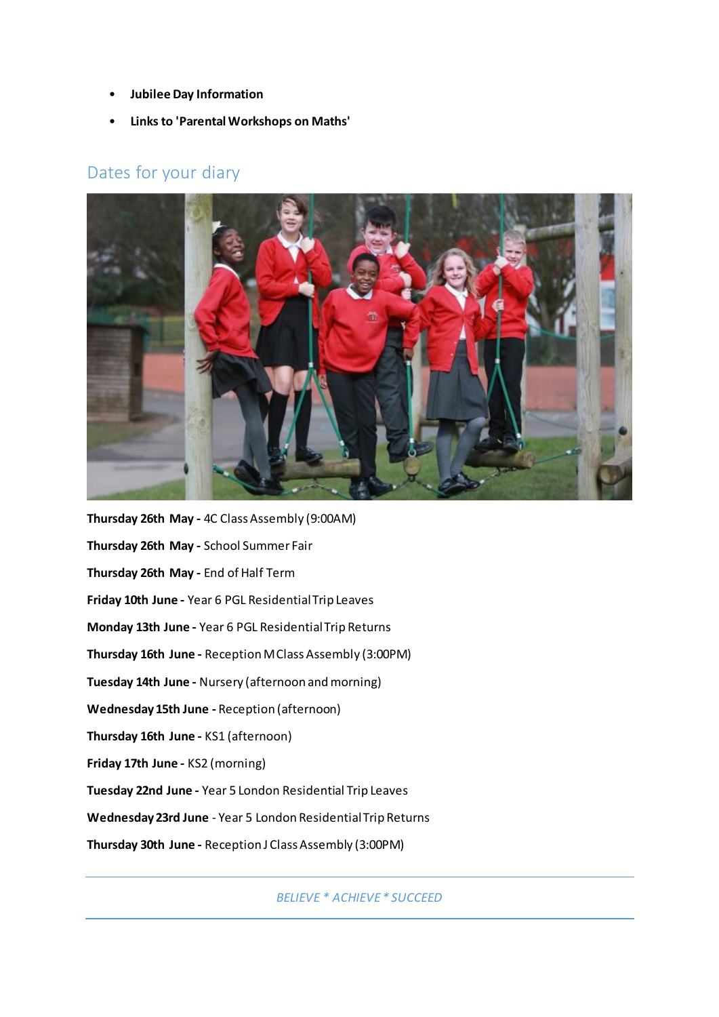- **Jubilee Day Information**
- **Links to 'Parental Workshops on Maths'**

## Dates for your diary



**Thursday 26th May -** 4C Class Assembly (9:00AM) **Thursday 26th May -** School Summer Fair **Thursday 26th May -** End of Half Term **Friday 10th June -** Year 6 PGL Residential Trip Leaves **Monday 13th June -** Year 6 PGL Residential Trip Returns **Thursday 16th June -** Reception M Class Assembly (3:00PM) **Tuesday 14th June -** Nursery (afternoon and morning) **Wednesday 15th June -** Reception (afternoon) **Thursday 16th June -** KS1 (afternoon) **Friday 17th June -** KS2 (morning) **Tuesday 22nd June -** Year 5 London Residential Trip Leaves **Wednesday 23rd June** - Year 5 London Residential Trip Returns **Thursday 30th June -** Reception J Class Assembly (3:00PM)

*BELIEVE \* ACHIEVE \* SUCCEED*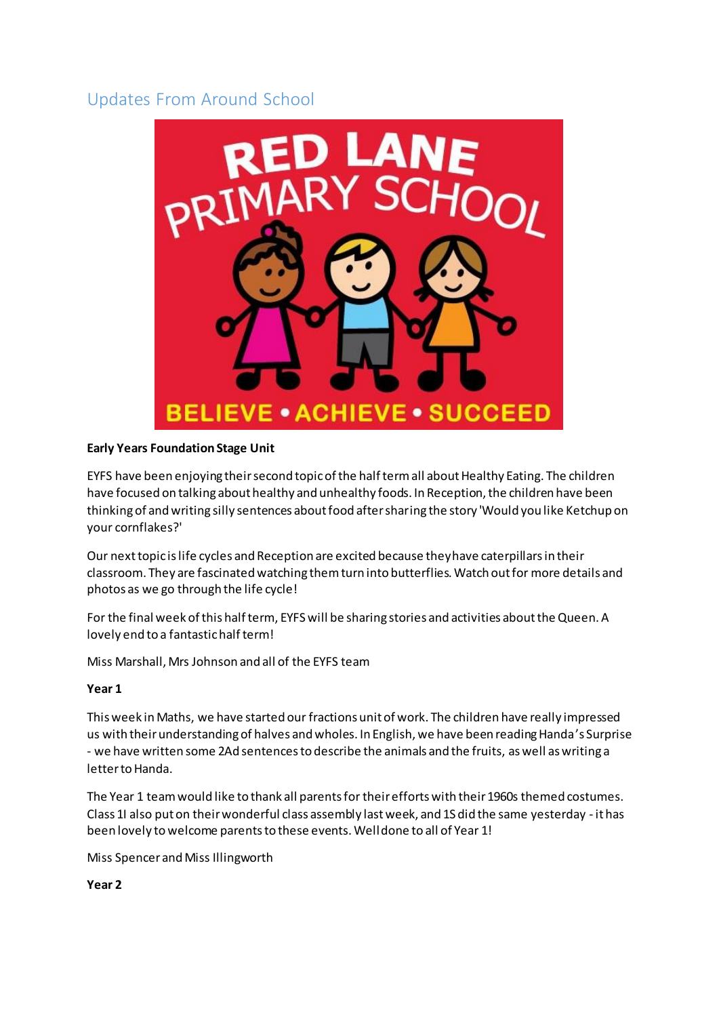# Updates From Around School



#### **Early Years Foundation Stage Unit**

EYFS have been enjoying their second topic of the half term all about Healthy Eating. The children have focused on talking about healthy and unhealthy foods. In Reception, the children have been thinking of and writing silly sentences about food after sharing the story 'Would you like Ketchup on your cornflakes?'

Our next topic is life cycles and Reception are excited because they have caterpillars in their classroom. They are fascinated watching them turn into butterflies. Watch out for more details and photos as we go through the life cycle!

For the final week of this half term, EYFS will be sharing stories and activities about the Queen. A lovely end to a fantastic half term!

Miss Marshall, Mrs Johnson and all of the EYFS team

#### **Year 1**

This week in Maths, we have started our fractions unit of work. The children have really impressed us with their understanding of halves and wholes. In English, we have been reading Handa's Surprise - we have written some 2Ad sentences to describe the animals and the fruits, as well as writing a letter to Handa.

The Year 1 team would like to thank all parents for their efforts with their 1960s themed costumes. Class 1I also put on their wonderful class assembly last week, and 1S did the same yesterday - it has been lovely to welcome parents to these events. Well done to all of Year 1!

Miss Spencer and Miss Illingworth

**Year 2**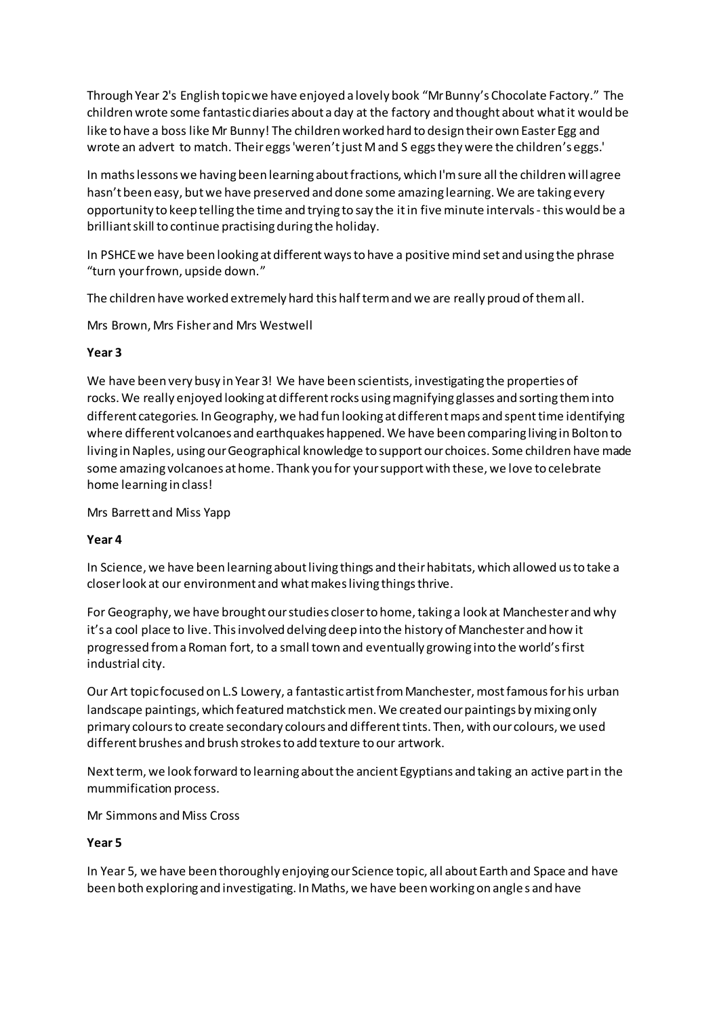Through Year 2's English topic we have enjoyed a lovely book "Mr Bunny's Chocolate Factory." The children wrote some fantastic diaries about a day at the factory and thought about what it would be like to have a boss like Mr Bunny! The children worked hard to design their own Easter Egg and wrote an advert to match. Their eggs 'weren't just M and S eggs they were the children's eggs.'

In maths lessons we having been learning about fractions, which I'm sure all the children will agree hasn't been easy, but we have preserved and done some amazing learning. We are taking every opportunity to keep telling the time and trying to say the it in five minute intervals -this would be a brilliant skill to continue practising during the holiday.

In PSHCE we have been looking at different ways to have a positive mind set and using the phrase "turn your frown, upside down."

The children have worked extremely hard this half term and we are really proud of them all.

Mrs Brown, Mrs Fisher and Mrs Westwell

#### **Year 3**

We have been very busy in Year 3! We have been scientists, investigating the properties of rocks. We really enjoyed looking at different rocks using magnifying glasses and sorting them into different categories. In Geography, we had fun looking at different maps and spent time identifying where different volcanoes and earthquakes happened. We have been comparing living in Bolton to living in Naples, using our Geographical knowledge to support our choices. Some children have made some amazing volcanoes at home. Thank you for your support with these, we love to celebrate home learning in class!

Mrs Barrett and Miss Yapp

#### **Year 4**

In Science, we have been learning about living things and their habitats, which allowed us to take a closer look at our environment and what makes living things thrive.

For Geography, we have brought our studies closer to home, taking a look at Manchester and why it's a cool place to live. This involved delving deep into the history of Manchester and how it progressed from a Roman fort, to a small town and eventually growing into the world's first industrial city.

Our Art topic focused on L.S Lowery, a fantastic artist from Manchester, most famous for his urban landscape paintings, which featured matchstick men. We created our paintings by mixing only primary colours to create secondary colours and different tints. Then, with our colours, we used different brushes and brush strokes to add texture to our artwork.

Next term, we look forward to learning about the ancient Egyptians and taking an active part in the mummification process.

Mr Simmons and Miss Cross

#### **Year 5**

In Year 5, we have been thoroughly enjoying our Science topic, all about Earth and Space and have been both exploring and investigating. In Maths, we have been working on angle s and have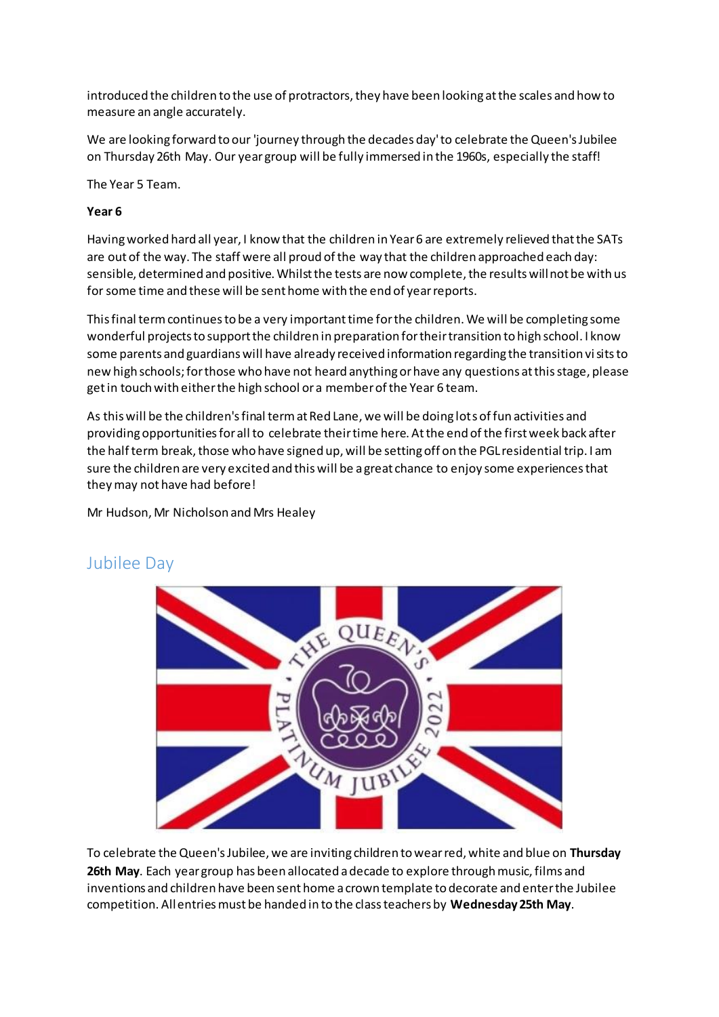introduced the children to the use of protractors, they have been looking at the scales and how to measure an angle accurately.

We are looking forward to our 'journey through the decades day' to celebrate the Queen's Jubilee on Thursday 26th May. Our year group will be fully immersed in the 1960s, especially the staff!

The Year 5 Team.

#### **Year 6**

Having worked hard all year, I know that the children in Year 6 are extremely relieved that the SATs are out of the way. The staff were all proud of the way that the children approached each day: sensible, determined and positive. Whilst the tests are now complete, the results will not be with us for some time and these will be sent home with the end of year reports.

This final term continues to be a very important time for the children. We will be completing some wonderful projects to support the children in preparation for their transition to high school. I know some parents and guardians will have already received information regarding the transition visits to new high schools; for those who have not heard anything or have any questions at this stage, please get in touch with either the high school or a member of the Year 6 team.

As this will be the children's final term at Red Lane, we will be doing lots of fun activities and providing opportunities for all to celebrate their time here. At the end of the first week back after the half term break, those who have signed up, will be setting off on the PGL residential trip. I am sure the children are very excited and this will be a great chance to enjoy some experiences that they may not have had before!

Mr Hudson, Mr Nicholson and Mrs Healey



## Jubilee Day

To celebrate the Queen's Jubilee, we are inviting children to wear red, white and blue on **Thursday 26th May**. Each year group has been allocated a decade to explore through music, films and inventions and children have been sent home a crown template to decorate and enter the Jubilee competition. All entries must be handed in to the class teachers by **Wednesday 25th May**.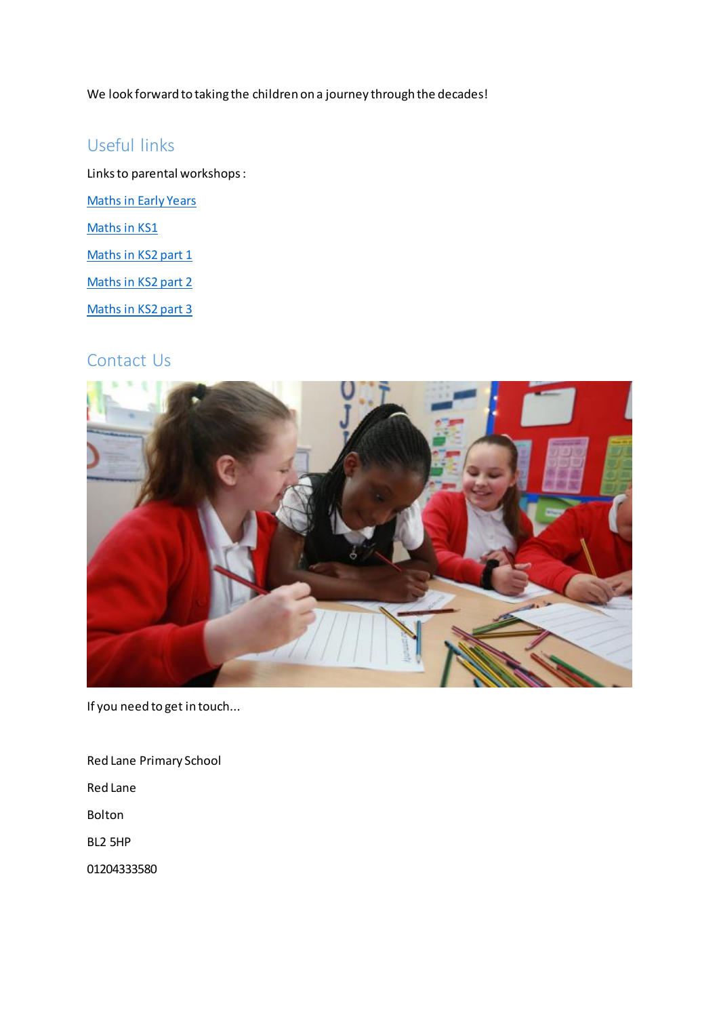We look forward to taking the children on a journey through the decades!

## Useful links

Links to parental workshops : [Maths in Early Years](https://www.youtube.com/watch?v=NYEgEJYZugo) [Maths in KS1](https://www.youtube.com/watch?v=L4QSxR8Loxk) [Maths in KS2 part 1](https://youtu.be/omqA4KsTs4I) [Maths in KS2 part 2](https://youtu.be/gUx5DjSo0fc) [Maths in KS2 part 3](https://youtu.be/pFDMiiDO8l4)

## Contact Us



If you need to get in touch...

Red Lane Primary School Red Lane Bolton

BL2 5HP

01204333580